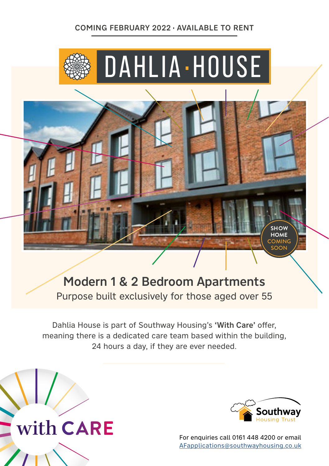#### COMING FEBRUARY 2022 AVAILABLE TO RENT



Modern 1 & 2 Bedroom Apartments Purpose built exclusively for those aged over 55

Dahlia House is part of Southway Housing's 'With Care' offer, meaning there is a dedicated care team based within the building, 24 hours a day, if they are ever needed.





For enquiries call 0161 448 4200 or email [AFapplications@southwayhousing.co.uk](mailto:AFapplications%40southwayhousing.co.uk?subject=Dahlia%20House)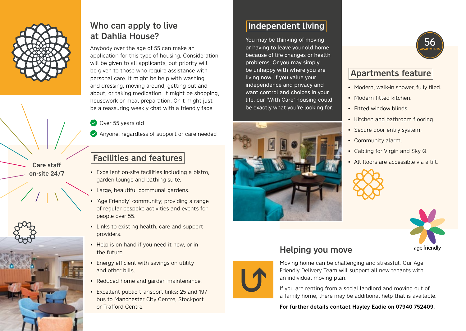

Care staff on-site 24/7 Who can apply to live at Dahlia House?

Anybody over the age of 55 can make an application for this type of housing. Consideration will be given to all applicants, but priority will be given to those who require assistance with personal care. It might be help with washing and dressing, moving around, getting out and about, or taking medication. It might be shopping, housework or meal preparation. Or it might just be a reassuring weekly chat with a friendly face

Over 55 years old

Anyone, regardless of support or care needed

## Facilities and features

- Excellent on-site facilities including a bistro, garden lounge and bathing suite.
- Large, beautiful communal gardens.
- 'Age Friendly' community; providing a range of regular bespoke activities and events for people over 55.
- Links to existing health, care and support providers.
- Help is on hand if you need it now, or in the future.
- Energy efficient with savings on utility and other bills.
- Reduced home and garden maintenance.
- Excellent public transport links; 25 and 197 bus to Manchester City Centre, Stockport or Trafford Centre.

# Independent living

You may be thinking of moving or having to leave your old home because of life changes or health problems. Or you may simply be unhappy with where you are living now. If you value your independence and privacy and want control and choices in your life, our 'With Care' housing could be exactly what you're looking for.





## Apartments feature

- Modern, walk-in shower, fully tiled.
- Modern fitted kitchen.
- Fitted window blinds.
- Kitchen and bathroom flooring.
- Secure door entry system.
- Community alarm.
- Cabling for Virgin and Sky Q.
- All floors are accessible via a lift.





# Helping you move



Moving home can be challenging and stressful. Our Age Friendly Delivery Team will support all new tenants with an individual moving plan.

If you are renting from a social landlord and moving out of a family home, there may be additional help that is available.

For further details contact Hayley Eadie on 07940 752409.